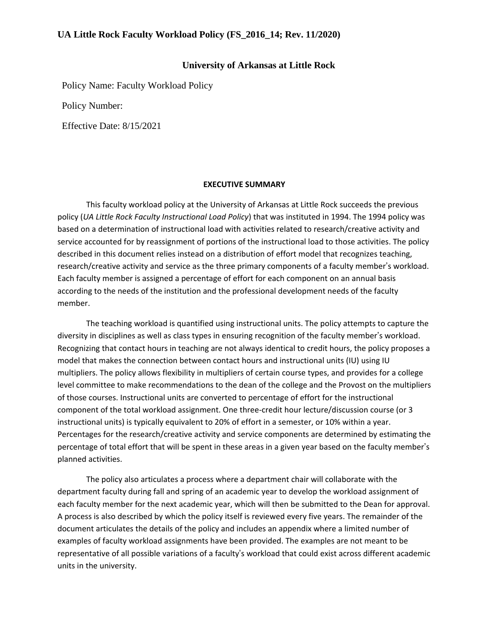#### **University of Arkansas at Little Rock**

Policy Name: Faculty Workload Policy

Policy Number:

Effective Date: 8/15/2021

#### **EXECUTIVE SUMMARY**

This faculty workload policy at the University of Arkansas at Little Rock succeeds the previous policy (*UA Little Rock Faculty Instructional Load Policy*) that was instituted in 1994. The 1994 policy was based on a determination of instructional load with activities related to research/creative activity and service accounted for by reassignment of portions of the instructional load to those activities. The policy described in this document relies instead on a distribution of effort model that recognizes teaching, research/creative activity and service as the three primary components of a faculty member's workload. Each faculty member is assigned a percentage of effort for each component on an annual basis according to the needs of the institution and the professional development needs of the faculty member.

The teaching workload is quantified using instructional units. The policy attempts to capture the diversity in disciplines as well as class types in ensuring recognition of the faculty member's workload. Recognizing that contact hours in teaching are not always identical to credit hours, the policy proposes a model that makes the connection between contact hours and instructional units (IU) using IU multipliers. The policy allows flexibility in multipliers of certain course types, and provides for a college level committee to make recommendations to the dean of the college and the Provost on the multipliers of those courses. Instructional units are converted to percentage of effort for the instructional component of the total workload assignment. One three-credit hour lecture/discussion course (or 3 instructional units) is typically equivalent to 20% of effort in a semester, or 10% within a year. Percentages for the research/creative activity and service components are determined by estimating the percentage of total effort that will be spent in these areas in a given year based on the faculty member's planned activities.

The policy also articulates a process where a department chair will collaborate with the department faculty during fall and spring of an academic year to develop the workload assignment of each faculty member for the next academic year, which will then be submitted to the Dean for approval. A process is also described by which the policy itself is reviewed every five years. The remainder of the document articulates the details of the policy and includes an appendix where a limited number of examples of faculty workload assignments have been provided. The examples are not meant to be representative of all possible variations of a faculty's workload that could exist across different academic units in the university.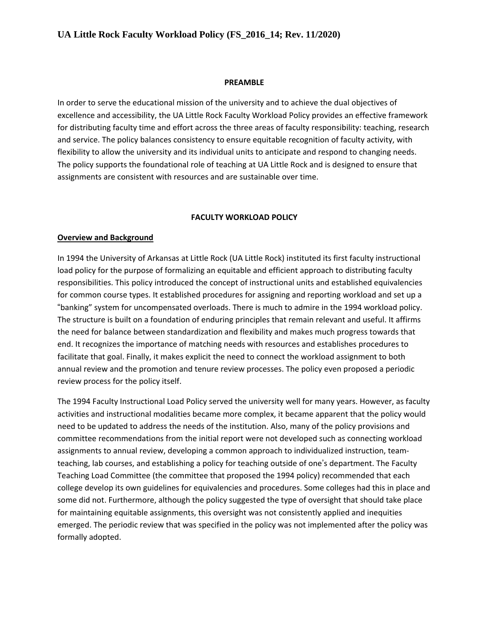#### **PREAMBLE**

In order to serve the educational mission of the university and to achieve the dual objectives of excellence and accessibility, the UA Little Rock Faculty Workload Policy provides an effective framework for distributing faculty time and effort across the three areas of faculty responsibility: teaching, research and service. The policy balances consistency to ensure equitable recognition of faculty activity, with flexibility to allow the university and its individual units to anticipate and respond to changing needs. The policy supports the foundational role of teaching at UA Little Rock and is designed to ensure that assignments are consistent with resources and are sustainable over time.

#### **FACULTY WORKLOAD POLICY**

#### **Overview and Background**

In 1994 the University of Arkansas at Little Rock (UA Little Rock) instituted its first faculty instructional load policy for the purpose of formalizing an equitable and efficient approach to distributing faculty responsibilities. This policy introduced the concept of instructional units and established equivalencies for common course types. It established procedures for assigning and reporting workload and set up a "banking" system for uncompensated overloads. There is much to admire in the 1994 workload policy. The structure is built on a foundation of enduring principles that remain relevant and useful. It affirms the need for balance between standardization and flexibility and makes much progress towards that end. It recognizes the importance of matching needs with resources and establishes procedures to facilitate that goal. Finally, it makes explicit the need to connect the workload assignment to both annual review and the promotion and tenure review processes. The policy even proposed a periodic review process for the policy itself.

The 1994 Faculty Instructional Load Policy served the university well for many years. However, as faculty activities and instructional modalities became more complex, it became apparent that the policy would need to be updated to address the needs of the institution. Also, many of the policy provisions and committee recommendations from the initial report were not developed such as connecting workload assignments to annual review, developing a common approach to individualized instruction, teamteaching, lab courses, and establishing a policy for teaching outside of one's department. The Faculty Teaching Load Committee (the committee that proposed the 1994 policy) recommended that each college develop its own guidelines for equivalencies and procedures. Some colleges had this in place and some did not. Furthermore, although the policy suggested the type of oversight that should take place for maintaining equitable assignments, this oversight was not consistently applied and inequities emerged. The periodic review that was specified in the policy was not implemented after the policy was formally adopted.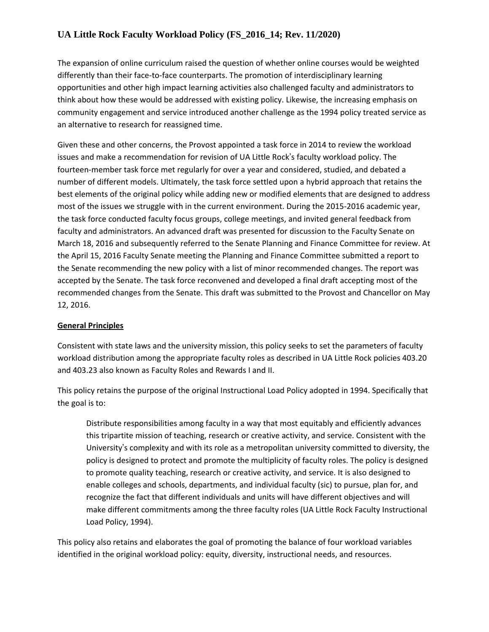The expansion of online curriculum raised the question of whether online courses would be weighted differently than their face-to-face counterparts. The promotion of interdisciplinary learning opportunities and other high impact learning activities also challenged faculty and administrators to think about how these would be addressed with existing policy. Likewise, the increasing emphasis on community engagement and service introduced another challenge as the 1994 policy treated service as an alternative to research for reassigned time.

Given these and other concerns, the Provost appointed a task force in 2014 to review the workload issues and make a recommendation for revision of UA Little Rock's faculty workload policy. The fourteen-member task force met regularly for over a year and considered, studied, and debated a number of different models. Ultimately, the task force settled upon a hybrid approach that retains the best elements of the original policy while adding new or modified elements that are designed to address most of the issues we struggle with in the current environment. During the 2015-2016 academic year, the task force conducted faculty focus groups, college meetings, and invited general feedback from faculty and administrators. An advanced draft was presented for discussion to the Faculty Senate on March 18, 2016 and subsequently referred to the Senate Planning and Finance Committee for review. At the April 15, 2016 Faculty Senate meeting the Planning and Finance Committee submitted a report to the Senate recommending the new policy with a list of minor recommended changes. The report was accepted by the Senate. The task force reconvened and developed a final draft accepting most of the recommended changes from the Senate. This draft was submitted to the Provost and Chancellor on May 12, 2016.

### **General Principles**

Consistent with state laws and the university mission, this policy seeks to set the parameters of faculty workload distribution among the appropriate faculty roles as described in UA Little Rock policies 403.20 and 403.23 also known as Faculty Roles and Rewards I and II.

This policy retains the purpose of the original Instructional Load Policy adopted in 1994. Specifically that the goal is to:

Distribute responsibilities among faculty in a way that most equitably and efficiently advances this tripartite mission of teaching, research or creative activity, and service. Consistent with the University's complexity and with its role as a metropolitan university committed to diversity, the policy is designed to protect and promote the multiplicity of faculty roles. The policy is designed to promote quality teaching, research or creative activity, and service. It is also designed to enable colleges and schools, departments, and individual faculty (sic) to pursue, plan for, and recognize the fact that different individuals and units will have different objectives and will make different commitments among the three faculty roles (UA Little Rock Faculty Instructional Load Policy, 1994).

This policy also retains and elaborates the goal of promoting the balance of four workload variables identified in the original workload policy: equity, diversity, instructional needs, and resources.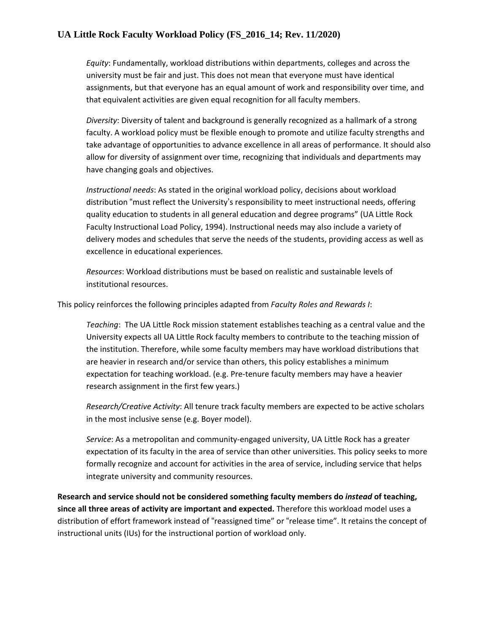*Equity*: Fundamentally, workload distributions within departments, colleges and across the university must be fair and just. This does not mean that everyone must have identical assignments, but that everyone has an equal amount of work and responsibility over time, and that equivalent activities are given equal recognition for all faculty members.

*Diversity*: Diversity of talent and background is generally recognized as a hallmark of a strong faculty. A workload policy must be flexible enough to promote and utilize faculty strengths and take advantage of opportunities to advance excellence in all areas of performance. It should also allow for diversity of assignment over time, recognizing that individuals and departments may have changing goals and objectives.

*Instructional needs*: As stated in the original workload policy, decisions about workload distribution "must reflect the University's responsibility to meet instructional needs, offering quality education to students in all general education and degree programs" (UA Little Rock Faculty Instructional Load Policy, 1994). Instructional needs may also include a variety of delivery modes and schedules that serve the needs of the students, providing access as well as excellence in educational experiences.

*Resources*: Workload distributions must be based on realistic and sustainable levels of institutional resources.

This policy reinforces the following principles adapted from *Faculty Roles and Rewards I*:

*Teaching*: The UA Little Rock mission statement establishes teaching as a central value and the University expects all UA Little Rock faculty members to contribute to the teaching mission of the institution. Therefore, while some faculty members may have workload distributions that are heavier in research and/or service than others, this policy establishes a minimum expectation for teaching workload. (e.g. Pre-tenure faculty members may have a heavier research assignment in the first few years.)

*Research/Creative Activity*: All tenure track faculty members are expected to be active scholars in the most inclusive sense (e.g. Boyer model).

*Service*: As a metropolitan and community-engaged university, UA Little Rock has a greater expectation of its faculty in the area of service than other universities. This policy seeks to more formally recognize and account for activities in the area of service, including service that helps integrate university and community resources.

**Research and service should not be considered something faculty members do** *instead* **of teaching, since all three areas of activity are important and expected.** Therefore this workload model uses a distribution of effort framework instead of "reassigned time" or "release time". It retains the concept of instructional units (IUs) for the instructional portion of workload only.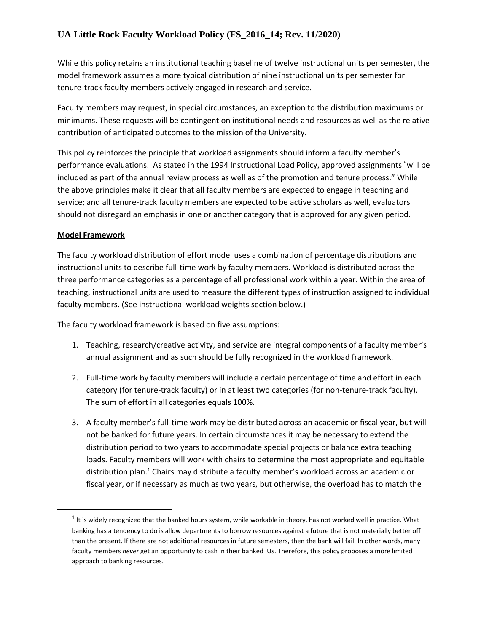While this policy retains an institutional teaching baseline of twelve instructional units per semester, the model framework assumes a more typical distribution of nine instructional units per semester for tenure-track faculty members actively engaged in research and service.

Faculty members may request, in special circumstances, an exception to the distribution maximums or minimums. These requests will be contingent on institutional needs and resources as well as the relative contribution of anticipated outcomes to the mission of the University.

This policy reinforces the principle that workload assignments should inform a faculty member's performance evaluations. As stated in the 1994 Instructional Load Policy, approved assignments "will be included as part of the annual review process as well as of the promotion and tenure process." While the above principles make it clear that all faculty members are expected to engage in teaching and service; and all tenure-track faculty members are expected to be active scholars as well, evaluators should not disregard an emphasis in one or another category that is approved for any given period.

### **Model Framework**

The faculty workload distribution of effort model uses a combination of percentage distributions and instructional units to describe full-time work by faculty members. Workload is distributed across the three performance categories as a percentage of all professional work within a year. Within the area of teaching, instructional units are used to measure the different types of instruction assigned to individual faculty members. (See instructional workload weights section below.)

The faculty workload framework is based on five assumptions:

- 1. Teaching, research/creative activity, and service are integral components of a faculty member's annual assignment and as such should be fully recognized in the workload framework.
- 2. Full-time work by faculty members will include a certain percentage of time and effort in each category (for tenure-track faculty) or in at least two categories (for non-tenure-track faculty). The sum of effort in all categories equals 100%.
- 3. A faculty member's full-time work may be distributed across an academic or fiscal year, but will not be banked for future years. In certain circumstances it may be necessary to extend the distribution period to two years to accommodate special projects or balance extra teaching loads. Faculty members will work with chairs to determine the most appropriate and equitable distribution plan.<sup>1</sup> Chairs may distribute a faculty member's workload across an academic or fiscal year, or if necessary as much as two years, but otherwise, the overload has to match the

 $^1$  It is widely recognized that the banked hours system, while workable in theory, has not worked well in practice. What banking has a tendency to do is allow departments to borrow resources against a future that is not materially better off than the present. If there are not additional resources in future semesters, then the bank will fail. In other words, many faculty members *never* get an opportunity to cash in their banked IUs. Therefore, this policy proposes a more limited approach to banking resources.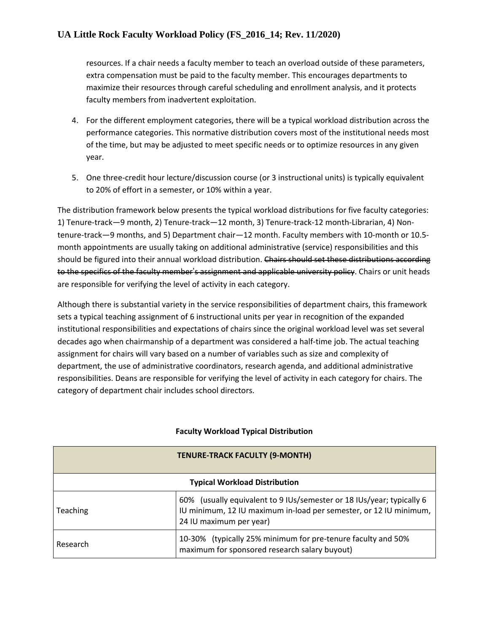resources. If a chair needs a faculty member to teach an overload outside of these parameters, extra compensation must be paid to the faculty member. This encourages departments to maximize their resources through careful scheduling and enrollment analysis, and it protects faculty members from inadvertent exploitation.

- 4. For the different employment categories, there will be a typical workload distribution across the performance categories. This normative distribution covers most of the institutional needs most of the time, but may be adjusted to meet specific needs or to optimize resources in any given year.
- 5. One three-credit hour lecture/discussion course (or 3 instructional units) is typically equivalent to 20% of effort in a semester, or 10% within a year.

The distribution framework below presents the typical workload distributions for five faculty categories: 1) Tenure-track—9 month, 2) Tenure-track—12 month, 3) Tenure-track-12 month-Librarian, 4) Nontenure-track—9 months, and 5) Department chair—12 month. Faculty members with 10-month or 10.5 month appointments are usually taking on additional administrative (service) responsibilities and this should be figured into their annual workload distribution. Chairs should set these distributions according to the specifics of the faculty member's assignment and applicable university policy. Chairs or unit heads are responsible for verifying the level of activity in each category.

Although there is substantial variety in the service responsibilities of department chairs, this framework sets a typical teaching assignment of 6 instructional units per year in recognition of the expanded institutional responsibilities and expectations of chairs since the original workload level was set several decades ago when chairmanship of a department was considered a half-time job. The actual teaching assignment for chairs will vary based on a number of variables such as size and complexity of department, the use of administrative coordinators, research agenda, and additional administrative responsibilities. Deans are responsible for verifying the level of activity in each category for chairs. The category of department chair includes school directors.

| <b>TENURE-TRACK FACULTY (9-MONTH)</b> |                                                                                                                                                                       |  |
|---------------------------------------|-----------------------------------------------------------------------------------------------------------------------------------------------------------------------|--|
| <b>Typical Workload Distribution</b>  |                                                                                                                                                                       |  |
| <b>Teaching</b>                       | 60% (usually equivalent to 9 IUs/semester or 18 IUs/year; typically 6<br>IU minimum, 12 IU maximum in-load per semester, or 12 IU minimum,<br>24 IU maximum per year) |  |
| Research                              | 10-30% (typically 25% minimum for pre-tenure faculty and 50%<br>maximum for sponsored research salary buyout)                                                         |  |

### **Faculty Workload Typical Distribution**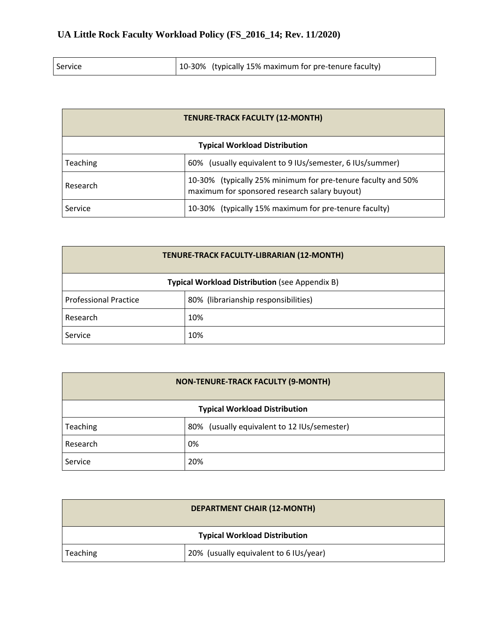| 10-30% (typically 15% maximum for pre-tenure faculty)<br>Service |
|------------------------------------------------------------------|
|------------------------------------------------------------------|

| <b>TENURE-TRACK FACULTY (12-MONTH)</b>                                                                                    |                                                       |  |  |
|---------------------------------------------------------------------------------------------------------------------------|-------------------------------------------------------|--|--|
| <b>Typical Workload Distribution</b>                                                                                      |                                                       |  |  |
| 60% (usually equivalent to 9 IUs/semester, 6 IUs/summer)<br><b>Teaching</b>                                               |                                                       |  |  |
| 10-30% (typically 25% minimum for pre-tenure faculty and 50%<br>Research<br>maximum for sponsored research salary buyout) |                                                       |  |  |
| Service                                                                                                                   | 10-30% (typically 15% maximum for pre-tenure faculty) |  |  |

| TENURE-TRACK FACULTY-LIBRARIAN (12-MONTH)                            |     |  |  |
|----------------------------------------------------------------------|-----|--|--|
| <b>Typical Workload Distribution (see Appendix B)</b>                |     |  |  |
| <b>Professional Practice</b><br>80% (librarianship responsibilities) |     |  |  |
| Research                                                             | 10% |  |  |
| Service                                                              | 10% |  |  |

| <b>NON-TENURE-TRACK FACULTY (9-MONTH)</b> |                                             |  |
|-------------------------------------------|---------------------------------------------|--|
| <b>Typical Workload Distribution</b>      |                                             |  |
| Teaching                                  | 80% (usually equivalent to 12 IUs/semester) |  |
| Research                                  | 0%                                          |  |
| Service                                   | 20%                                         |  |

| <b>DEPARTMENT CHAIR (12-MONTH)</b>                 |  |  |
|----------------------------------------------------|--|--|
| <b>Typical Workload Distribution</b>               |  |  |
| 20% (usually equivalent to 6 IUs/year)<br>Teaching |  |  |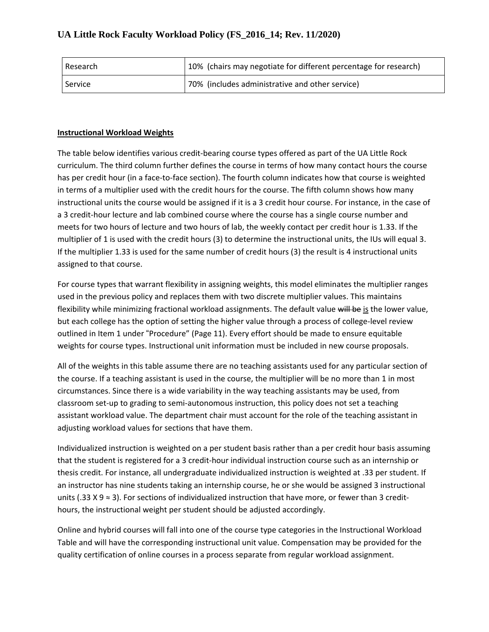| l Research | 10% (chairs may negotiate for different percentage for research) |
|------------|------------------------------------------------------------------|
| Service    | 70% (includes administrative and other service)                  |

### **Instructional Workload Weights**

The table below identifies various credit-bearing course types offered as part of the UA Little Rock curriculum. The third column further defines the course in terms of how many contact hours the course has per credit hour (in a face-to-face section). The fourth column indicates how that course is weighted in terms of a multiplier used with the credit hours for the course. The fifth column shows how many instructional units the course would be assigned if it is a 3 credit hour course. For instance, in the case of a 3 credit-hour lecture and lab combined course where the course has a single course number and meets for two hours of lecture and two hours of lab, the weekly contact per credit hour is 1.33. If the multiplier of 1 is used with the credit hours (3) to determine the instructional units, the IUs will equal 3. If the multiplier 1.33 is used for the same number of credit hours (3) the result is 4 instructional units assigned to that course.

For course types that warrant flexibility in assigning weights, this model eliminates the multiplier ranges used in the previous policy and replaces them with two discrete multiplier values. This maintains flexibility while minimizing fractional workload assignments. The default value will be is the lower value, but each college has the option of setting the higher value through a process of college-level review outlined in Item 1 under "Procedure" (Page 11). Every effort should be made to ensure equitable weights for course types. Instructional unit information must be included in new course proposals.

All of the weights in this table assume there are no teaching assistants used for any particular section of the course. If a teaching assistant is used in the course, the multiplier will be no more than 1 in most circumstances. Since there is a wide variability in the way teaching assistants may be used, from classroom set-up to grading to semi-autonomous instruction, this policy does not set a teaching assistant workload value. The department chair must account for the role of the teaching assistant in adjusting workload values for sections that have them.

Individualized instruction is weighted on a per student basis rather than a per credit hour basis assuming that the student is registered for a 3 credit-hour individual instruction course such as an internship or thesis credit. For instance, all undergraduate individualized instruction is weighted at .33 per student. If an instructor has nine students taking an internship course, he or she would be assigned 3 instructional units (.33 X 9 ≈ 3). For sections of individualized instruction that have more, or fewer than 3 credithours, the instructional weight per student should be adjusted accordingly.

Online and hybrid courses will fall into one of the course type categories in the Instructional Workload Table and will have the corresponding instructional unit value. Compensation may be provided for the quality certification of online courses in a process separate from regular workload assignment.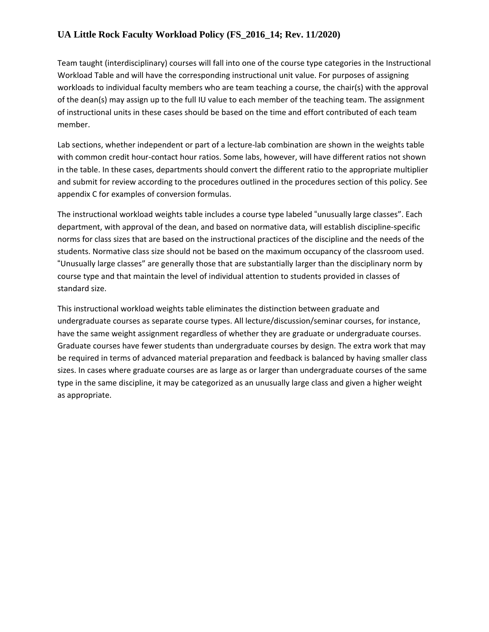Team taught (interdisciplinary) courses will fall into one of the course type categories in the Instructional Workload Table and will have the corresponding instructional unit value. For purposes of assigning workloads to individual faculty members who are team teaching a course, the chair(s) with the approval of the dean(s) may assign up to the full IU value to each member of the teaching team. The assignment of instructional units in these cases should be based on the time and effort contributed of each team member.

Lab sections, whether independent or part of a lecture-lab combination are shown in the weights table with common credit hour-contact hour ratios. Some labs, however, will have different ratios not shown in the table. In these cases, departments should convert the different ratio to the appropriate multiplier and submit for review according to the procedures outlined in the procedures section of this policy. See appendix C for examples of conversion formulas.

The instructional workload weights table includes a course type labeled "unusually large classes". Each department, with approval of the dean, and based on normative data, will establish discipline-specific norms for class sizes that are based on the instructional practices of the discipline and the needs of the students. Normative class size should not be based on the maximum occupancy of the classroom used. "Unusually large classes" are generally those that are substantially larger than the disciplinary norm by course type and that maintain the level of individual attention to students provided in classes of standard size.

This instructional workload weights table eliminates the distinction between graduate and undergraduate courses as separate course types. All lecture/discussion/seminar courses, for instance, have the same weight assignment regardless of whether they are graduate or undergraduate courses. Graduate courses have fewer students than undergraduate courses by design. The extra work that may be required in terms of advanced material preparation and feedback is balanced by having smaller class sizes. In cases where graduate courses are as large as or larger than undergraduate courses of the same type in the same discipline, it may be categorized as an unusually large class and given a higher weight as appropriate.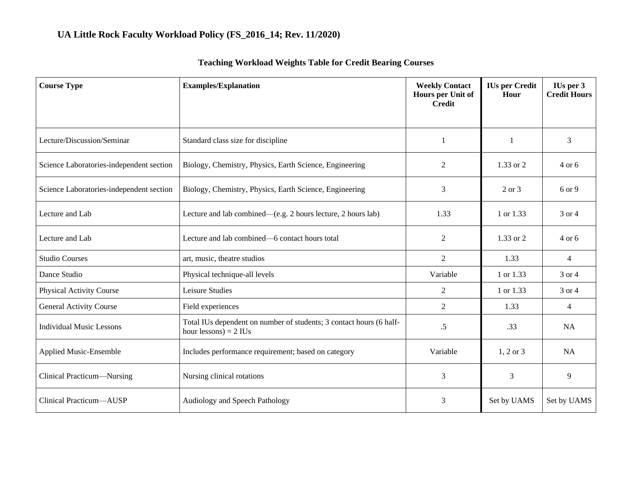| <b>Course Type</b>                       | <b>Examples/Explanation</b>                                                                    | <b>Weekly Contact</b><br>Hours per Unit of<br><b>Credit</b> | <b>IUs per Credit</b><br>Hour | IUs per 3<br><b>Credit Hours</b> |
|------------------------------------------|------------------------------------------------------------------------------------------------|-------------------------------------------------------------|-------------------------------|----------------------------------|
|                                          |                                                                                                |                                                             |                               |                                  |
| Lecture/Discussion/Seminar               | Standard class size for discipline                                                             | 1                                                           | 1                             | 3                                |
| Science Laboratories-independent section | Biology, Chemistry, Physics, Earth Science, Engineering                                        | 2                                                           | $1.33$ or $2$                 | $4$ or 6                         |
| Science Laboratories-independent section | Biology, Chemistry, Physics, Earth Science, Engineering                                        | 3                                                           | 2 or 3                        | 6 or 9                           |
| Lecture and Lab                          | Lecture and lab combined—(e.g. 2 hours lecture, 2 hours lab)                                   | 1.33                                                        | 1 or 1.33                     | 3 or 4                           |
| Lecture and Lab                          | Lecture and lab combined—6 contact hours total                                                 | $\overline{2}$                                              | 1.33 or 2                     | 4 or 6                           |
| <b>Studio Courses</b>                    | art, music, theatre studios                                                                    | $\overline{2}$                                              | 1.33                          | 4                                |
| Dance Studio                             | Physical technique-all levels                                                                  | Variable                                                    | 1 or 1.33                     | 3 or 4                           |
| <b>Physical Activity Course</b>          | Leisure Studies                                                                                | 2                                                           | 1 or 1.33                     | 3 or 4                           |
| <b>General Activity Course</b>           | Field experiences                                                                              | $\overline{2}$                                              | 1.33                          | $\overline{4}$                   |
| <b>Individual Music Lessons</b>          | Total IUs dependent on number of students; 3 contact hours (6 half-<br>hour lessons) = $2$ IUs | $.5\,$                                                      | .33                           | <b>NA</b>                        |
| <b>Applied Music-Ensemble</b>            | Includes performance requirement; based on category                                            | Variable                                                    | $1, 2$ or $3$                 | <b>NA</b>                        |
| Clinical Practicum—Nursing               | Nursing clinical rotations                                                                     | 3                                                           | 3                             | 9                                |
| Clinical Practicum-AUSP                  | Audiology and Speech Pathology                                                                 | 3                                                           | Set by UAMS                   | Set by UAMS                      |

# **Teaching Workload Weights Table for Credit Bearing Courses**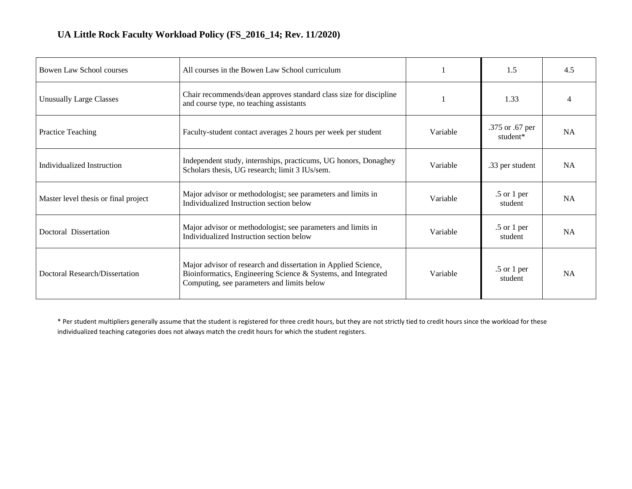| Bowen Law School courses             | All courses in the Bowen Law School curriculum                                                                                                                                |          | 1.5                         | 4.5       |
|--------------------------------------|-------------------------------------------------------------------------------------------------------------------------------------------------------------------------------|----------|-----------------------------|-----------|
| <b>Unusually Large Classes</b>       | Chair recommends/dean approves standard class size for discipline<br>and course type, no teaching assistants                                                                  |          | 1.33                        |           |
| Practice Teaching                    | Faculty-student contact averages 2 hours per week per student                                                                                                                 | Variable | .375 or .67 per<br>student* | <b>NA</b> |
| Individualized Instruction           | Independent study, internships, practicums, UG honors, Donaghey<br>Scholars thesis, UG research; limit 3 IUs/sem.                                                             | Variable | .33 per student             | <b>NA</b> |
| Master level thesis or final project | Major advisor or methodologist; see parameters and limits in<br>Individualized Instruction section below                                                                      | Variable | $.5$ or 1 per<br>student    | <b>NA</b> |
| Doctoral Dissertation                | Major advisor or methodologist; see parameters and limits in<br>Individualized Instruction section below                                                                      | Variable | $.5$ or 1 per<br>student    | <b>NA</b> |
| Doctoral Research/Dissertation       | Major advisor of research and dissertation in Applied Science,<br>Bioinformatics, Engineering Science & Systems, and Integrated<br>Computing, see parameters and limits below | Variable | $.5$ or 1 per<br>student    | <b>NA</b> |

\* Per student multipliers generally assume that the student is registered for three credit hours, but they are not strictly tied to credit hours since the workload for these individualized teaching categories does not always match the credit hours for which the student registers.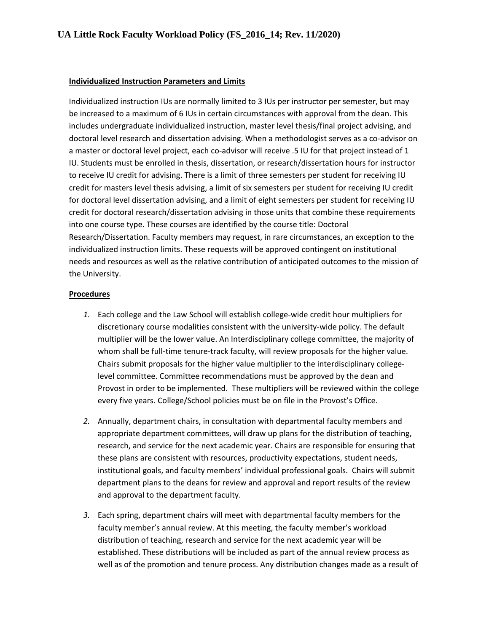#### **Individualized Instruction Parameters and Limits**

Individualized instruction IUs are normally limited to 3 IUs per instructor per semester, but may be increased to a maximum of 6 IUs in certain circumstances with approval from the dean. This includes undergraduate individualized instruction, master level thesis/final project advising, and doctoral level research and dissertation advising. When a methodologist serves as a co-advisor on a master or doctoral level project, each co-advisor will receive .5 IU for that project instead of 1 IU. Students must be enrolled in thesis, dissertation, or research/dissertation hours for instructor to receive IU credit for advising. There is a limit of three semesters per student for receiving IU credit for masters level thesis advising, a limit of six semesters per student for receiving IU credit for doctoral level dissertation advising, and a limit of eight semesters per student for receiving IU credit for doctoral research/dissertation advising in those units that combine these requirements into one course type. These courses are identified by the course title: Doctoral Research/Dissertation. Faculty members may request, in rare circumstances, an exception to the individualized instruction limits. These requests will be approved contingent on institutional needs and resources as well as the relative contribution of anticipated outcomes to the mission of the University.

#### **Procedures**

- *1.* Each college and the Law School will establish college-wide credit hour multipliers for discretionary course modalities consistent with the university-wide policy. The default multiplier will be the lower value. An Interdisciplinary college committee, the majority of whom shall be full-time tenure-track faculty, will review proposals for the higher value. Chairs submit proposals for the higher value multiplier to the interdisciplinary collegelevel committee. Committee recommendations must be approved by the dean and Provost in order to be implemented. These multipliers will be reviewed within the college every five years. College/School policies must be on file in the Provost's Office.
- *2.* Annually, department chairs, in consultation with departmental faculty members and appropriate department committees, will draw up plans for the distribution of teaching, research, and service for the next academic year. Chairs are responsible for ensuring that these plans are consistent with resources, productivity expectations, student needs, institutional goals, and faculty members' individual professional goals. Chairs will submit department plans to the deans for review and approval and report results of the review and approval to the department faculty.
- *3.* Each spring, department chairs will meet with departmental faculty members for the faculty member's annual review. At this meeting, the faculty member's workload distribution of teaching, research and service for the next academic year will be established. These distributions will be included as part of the annual review process as well as of the promotion and tenure process. Any distribution changes made as a result of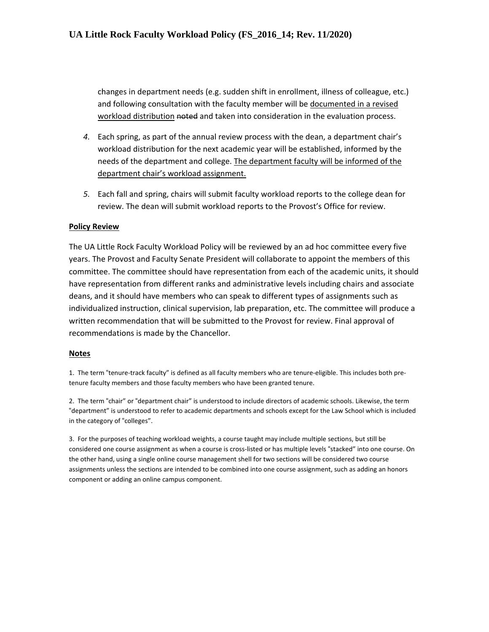changes in department needs (e.g. sudden shift in enrollment, illness of colleague, etc.) and following consultation with the faculty member will be documented in a revised workload distribution noted and taken into consideration in the evaluation process.

- *4.* Each spring, as part of the annual review process with the dean, a department chair's workload distribution for the next academic year will be established, informed by the needs of the department and college. The department faculty will be informed of the department chair's workload assignment.
- *5.* Each fall and spring, chairs will submit faculty workload reports to the college dean for review. The dean will submit workload reports to the Provost's Office for review.

#### **Policy Review**

The UA Little Rock Faculty Workload Policy will be reviewed by an ad hoc committee every five years. The Provost and Faculty Senate President will collaborate to appoint the members of this committee. The committee should have representation from each of the academic units, it should have representation from different ranks and administrative levels including chairs and associate deans, and it should have members who can speak to different types of assignments such as individualized instruction, clinical supervision, lab preparation, etc. The committee will produce a written recommendation that will be submitted to the Provost for review. Final approval of recommendations is made by the Chancellor.

#### **Notes**

1. The term "tenure-track faculty" is defined as all faculty members who are tenure-eligible. This includes both pretenure faculty members and those faculty members who have been granted tenure.

2. The term "chair" or "department chair" is understood to include directors of academic schools. Likewise, the term "department" is understood to refer to academic departments and schools except for the Law School which is included in the category of "colleges".

3. For the purposes of teaching workload weights, a course taught may include multiple sections, but still be considered one course assignment as when a course is cross-listed or has multiple levels "stacked" into one course. On the other hand, using a single online course management shell for two sections will be considered two course assignments unless the sections are intended to be combined into one course assignment, such as adding an honors component or adding an online campus component.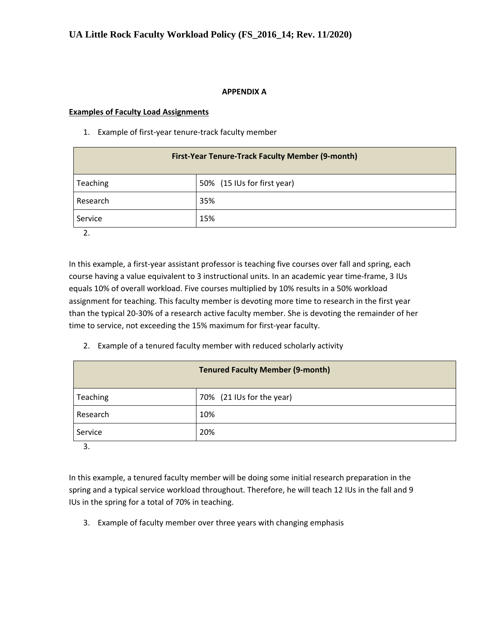#### **APPENDIX A**

#### **Examples of Faculty Load Assignments**

1. Example of first-year tenure-track faculty member

| <b>First-Year Tenure-Track Faculty Member (9-month)</b> |                             |  |
|---------------------------------------------------------|-----------------------------|--|
| Teaching                                                | 50% (15 IUs for first year) |  |
| Research                                                | 35%                         |  |
| Service                                                 | 15%                         |  |

2.

In this example, a first-year assistant professor is teaching five courses over fall and spring, each course having a value equivalent to 3 instructional units. In an academic year time-frame, 3 IUs equals 10% of overall workload. Five courses multiplied by 10% results in a 50% workload assignment for teaching. This faculty member is devoting more time to research in the first year than the typical 20-30% of a research active faculty member. She is devoting the remainder of her time to service, not exceeding the 15% maximum for first-year faculty.

2. Example of a tenured faculty member with reduced scholarly activity

|          | <b>Tenured Faculty Member (9-month)</b> |
|----------|-----------------------------------------|
| Teaching | 70% (21 IUs for the year)               |
| Research | 10%                                     |
| Service  | 20%                                     |

3.

In this example, a tenured faculty member will be doing some initial research preparation in the spring and a typical service workload throughout. Therefore, he will teach 12 IUs in the fall and 9 IUs in the spring for a total of 70% in teaching.

3. Example of faculty member over three years with changing emphasis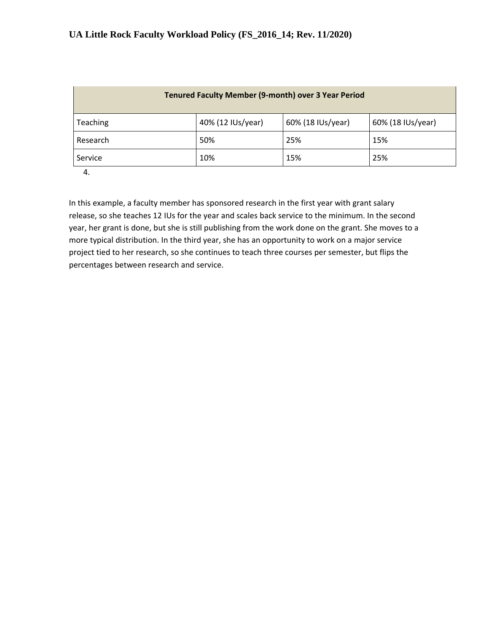| <b>Tenured Faculty Member (9-month) over 3 Year Period</b>              |     |     |     |  |  |
|-------------------------------------------------------------------------|-----|-----|-----|--|--|
| 40% (12 IUs/year)<br>60% (18 IUs/year)<br>60% (18 IUs/year)<br>Teaching |     |     |     |  |  |
| Research                                                                | 50% | 25% | 15% |  |  |
| 15%<br>10%<br>25%<br>Service                                            |     |     |     |  |  |

4.

In this example, a faculty member has sponsored research in the first year with grant salary release, so she teaches 12 IUs for the year and scales back service to the minimum. In the second year, her grant is done, but she is still publishing from the work done on the grant. She moves to a more typical distribution. In the third year, she has an opportunity to work on a major service project tied to her research, so she continues to teach three courses per semester, but flips the percentages between research and service.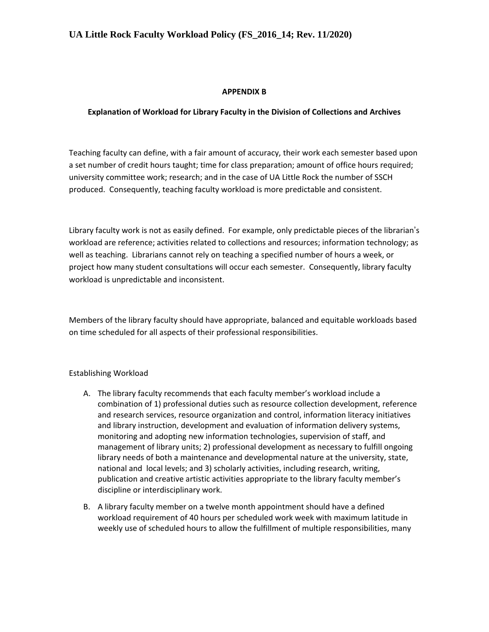#### **APPENDIX B**

#### **Explanation of Workload for Library Faculty in the Division of Collections and Archives**

Teaching faculty can define, with a fair amount of accuracy, their work each semester based upon a set number of credit hours taught; time for class preparation; amount of office hours required; university committee work; research; and in the case of UA Little Rock the number of SSCH produced. Consequently, teaching faculty workload is more predictable and consistent.

Library faculty work is not as easily defined. For example, only predictable pieces of the librarian's workload are reference; activities related to collections and resources; information technology; as well as teaching. Librarians cannot rely on teaching a specified number of hours a week, or project how many student consultations will occur each semester. Consequently, library faculty workload is unpredictable and inconsistent.

Members of the library faculty should have appropriate, balanced and equitable workloads based on time scheduled for all aspects of their professional responsibilities.

#### Establishing Workload

- A. The library faculty recommends that each faculty member's workload include a combination of 1) professional duties such as resource collection development, reference and research services, resource organization and control, information literacy initiatives and library instruction, development and evaluation of information delivery systems, monitoring and adopting new information technologies, supervision of staff, and management of library units; 2) professional development as necessary to fulfill ongoing library needs of both a maintenance and developmental nature at the university, state, national and local levels; and 3) scholarly activities, including research, writing, publication and creative artistic activities appropriate to the library faculty member's discipline or interdisciplinary work.
- B. A library faculty member on a twelve month appointment should have a defined workload requirement of 40 hours per scheduled work week with maximum latitude in weekly use of scheduled hours to allow the fulfillment of multiple responsibilities, many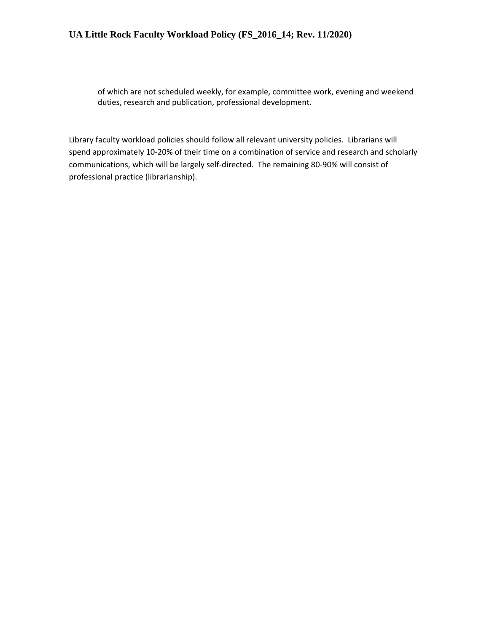of which are not scheduled weekly, for example, committee work, evening and weekend duties, research and publication, professional development.

Library faculty workload policies should follow all relevant university policies. Librarians will spend approximately 10-20% of their time on a combination of service and research and scholarly communications, which will be largely self-directed. The remaining 80-90% will consist of professional practice (librarianship).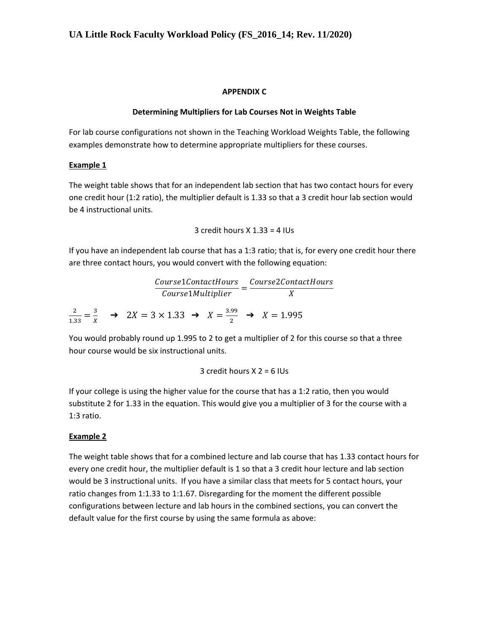#### **APPENDIX C**

### **Determining Multipliers for Lab Courses Not in Weights Table**

For lab course configurations not shown in the Teaching Workload Weights Table, the following examples demonstrate how to determine appropriate multipliers for these courses.

### **Example 1**

The weight table shows that for an independent lab section that has two contact hours for every one credit hour (1:2 ratio), the multiplier default is 1.33 so that a 3 credit hour lab section would be 4 instructional units.

3 credit hours X 1.33 = 4 IUs

If you have an independent lab course that has a 1:3 ratio; that is, for every one credit hour there are three contact hours, you would convert with the following equation:

 $\frac{Course1ContextHours}{Course1Multiplier} = \frac{Course2ContextHours}{X}$ X 2  $\frac{2}{1.33} = \frac{3}{x}$  $\frac{3}{X}$   $\rightarrow$  2X = 3 × 1.33  $\rightarrow$  X =  $\frac{3.99}{2}$  $\frac{1}{2}$   $\rightarrow$   $X = 1.995$ 

You would probably round up 1.995 to 2 to get a multiplier of 2 for this course so that a three hour course would be six instructional units.

3 credit hours 
$$
X = 6
$$
 IUs

If your college is using the higher value for the course that has a 1:2 ratio, then you would substitute 2 for 1.33 in the equation. This would give you a multiplier of 3 for the course with a 1:3 ratio.

### **Example 2**

The weight table shows that for a combined lecture and lab course that has 1.33 contact hours for every one credit hour, the multiplier default is 1 so that a 3 credit hour lecture and lab section would be 3 instructional units. If you have a similar class that meets for 5 contact hours, your ratio changes from 1:1.33 to 1:1.67. Disregarding for the moment the different possible configurations between lecture and lab hours in the combined sections, you can convert the default value for the first course by using the same formula as above: